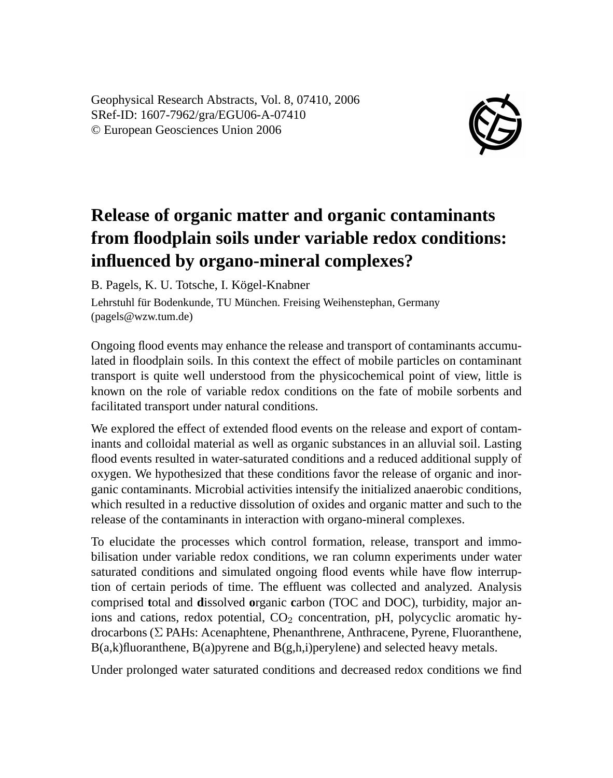Geophysical Research Abstracts, Vol. 8, 07410, 2006 SRef-ID: 1607-7962/gra/EGU06-A-07410 © European Geosciences Union 2006



## **Release of organic matter and organic contaminants from floodplain soils under variable redox conditions: influenced by organo-mineral complexes?**

B. Pagels, K. U. Totsche, I. Kögel-Knabner Lehrstuhl für Bodenkunde, TU München. Freising Weihenstephan, Germany (pagels@wzw.tum.de)

Ongoing flood events may enhance the release and transport of contaminants accumulated in floodplain soils. In this context the effect of mobile particles on contaminant transport is quite well understood from the physicochemical point of view, little is known on the role of variable redox conditions on the fate of mobile sorbents and facilitated transport under natural conditions.

We explored the effect of extended flood events on the release and export of contaminants and colloidal material as well as organic substances in an alluvial soil. Lasting flood events resulted in water-saturated conditions and a reduced additional supply of oxygen. We hypothesized that these conditions favor the release of organic and inorganic contaminants. Microbial activities intensify the initialized anaerobic conditions, which resulted in a reductive dissolution of oxides and organic matter and such to the release of the contaminants in interaction with organo-mineral complexes.

To elucidate the processes which control formation, release, transport and immobilisation under variable redox conditions, we ran column experiments under water saturated conditions and simulated ongoing flood events while have flow interruption of certain periods of time. The effluent was collected and analyzed. Analysis comprised **t**otal and **d**issolved **o**rganic **c**arbon (TOC and DOC), turbidity, major anions and cations, redox potential,  $CO<sub>2</sub>$  concentration, pH, polycyclic aromatic hydrocarbons (Σ PAHs: Acenaphtene, Phenanthrene, Anthracene, Pyrene, Fluoranthene,  $B(a,k)$ fluoranthene,  $B(a)$ pyrene and  $B(g,h,i)$ perylene) and selected heavy metals.

Under prolonged water saturated conditions and decreased redox conditions we find